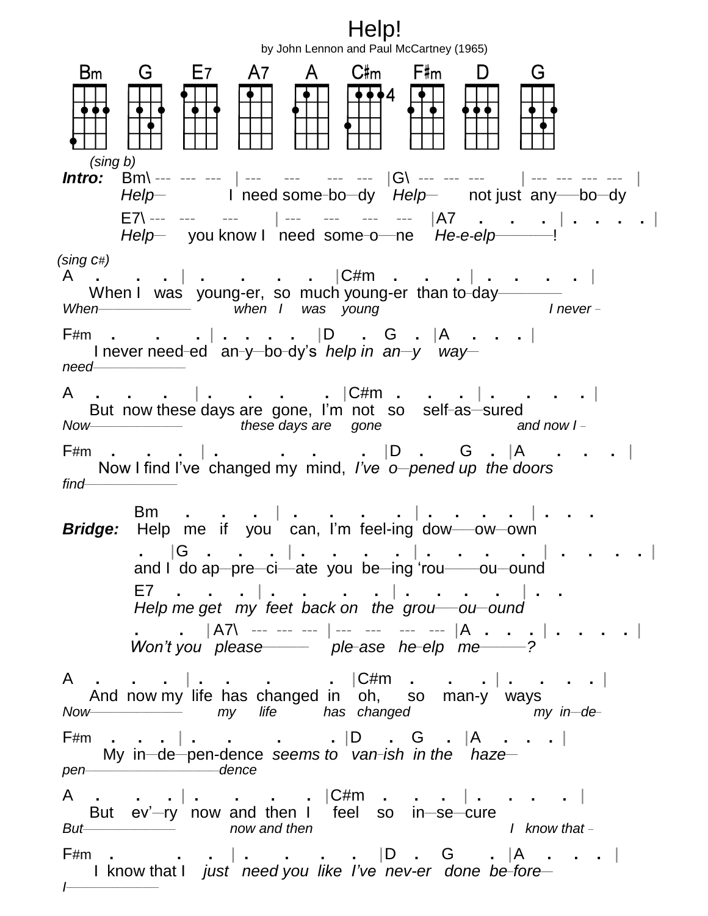Help! by John Lennon and Paul McCartney (1965)  $E7$ C#m F#m Bm G A7 -G  $\mathsf{A}$ D. ♦♦4  *(sing b) Intro:* Bm\ --- --- --- | --- --- --- --- |G\ --- --- --- | --- --- --- --- |  *Help***\_\_** I need some**\_**bo**\_\_**dy *Help***\_\_** not just any**\_\_\_\_**bo**\_\_**dy E7\ --- --- --- | --- --- --- --- |A7 **. . .** | **. . . .** | *Help***\_\_** you know I need some**\_**o **\_\_\_**ne *He-e-elp***\_\_\_\_\_\_\_\_\_\_**! *(sing c#)* A **. . .** | **. . . .** |C#m **. . .** | **. . . .** | When I was young-er, so much young-er than to-day<br>When **I when I was young Inever-**When **When** I was young I hever-F#m **. . .** | **. . . .** |D **.** G **.** |A **. . .** | I never need-ed an-y-bo-dy's *help in an-y way need***\_\_\_\_\_\_\_\_\_\_\_\_\_\_\_\_\_\_** A **. . .** | **. . . .** |C#m **. . .** | **. . . .** | But now these days are gone, I'm not so self**\_**as**\_\_**sured *Now***\_\_\_\_\_\_\_\_\_\_\_\_\_\_\_\_\_\_**  *these days are gone and now I* **\_** F#m **. . .** | **. . . .** |D **.** G **.** |A **. . .** | Now I find I've changed my mind, *I've o* **\_\_***pened up the doors find***\_\_\_\_\_\_\_\_\_\_\_\_\_\_\_\_\_\_** Bm **. . .** | **. . . .** | **. . . .** | **. . .** *Bridge:* Help me if you can, I'm feel-ing dow**\_\_\_\_**ow**\_\_**own **.** |G **. . .** | **. . . .** | **. . . .** | **. . . .** | and I do ap**\_\_**pre**\_\_**ci**\_\_\_**ate you be**\_\_**ing 'rou**\_\_\_\_\_\_**ou**\_\_**ound E7 **. . .** | **. . . .** | **. . . .** | **. .** *Help me get my feet back on the grou\_\_\_\_ou\_\_ound* **. .** | A7\ ------ --- | --------- --- |A **. . .** | **. . . .** | *Won't you please\_\_\_\_\_\_\_\_ ple\_ase he\_elp me\_\_\_\_\_\_\_\_?* A **. . .** | **. . . .** |C#m **. . .** | **. . . .** | And now my life has changed in oh, so man-y ways *Now***\_\_\_\_\_\_\_\_\_\_\_\_\_\_\_\_\_\_**   *my life has changed my in***\_\_***de***\_** F#m **. . .** | **. . . .** |D **.** G **.** |A **. . .** | My in–de–pen-dence *seems to van-ish in the haze– pen***\_\_\_\_\_\_\_\_\_\_\_\_\_\_\_\_\_\_\_\_\_\_\_\_\_\_***dence* A **. . .** | **. . . .** |C#m **. . .** | **. . . .** | But ev'-ry now and then I feel so in-se-cure *But***\_\_\_\_\_\_\_\_\_\_\_\_\_\_\_\_\_\_**  *now and then I know that* **\_** F#m **. . .** | **. . . .** |D **.** G **.** |A **. . .** | I know that I *just need you like I've nev-er done be-fore* **\_\_\_\_\_\_\_\_\_\_\_\_\_\_\_\_\_\_***I*